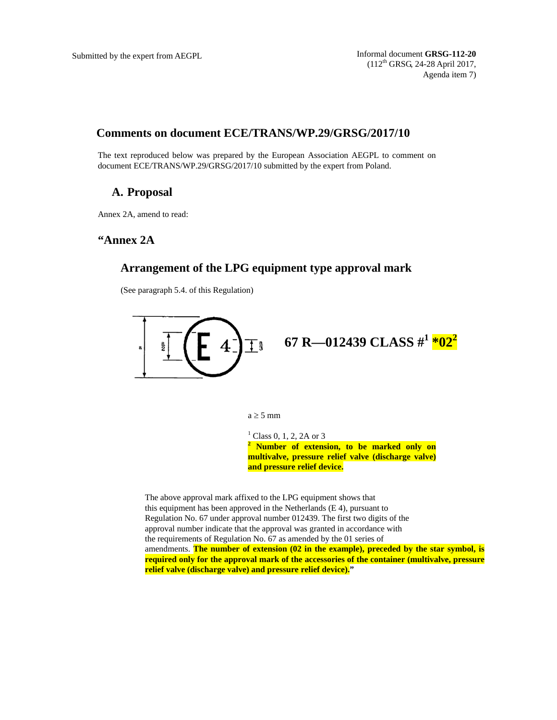Submitted by the expert from AEGPL **Informal document GRSG-112-20** (112th GRSG, 24-28 April 2017, Agenda item 7)

# **Comments on document ECE/TRANS/WP.29/GRSG/2017/10**

The text reproduced below was prepared by the European Association AEGPL to comment on document ECE/TRANS/WP.29/GRSG/2017/10 submitted by the expert from Poland.

# **A. Proposal**

Annex 2A, amend to read:

## **"Annex 2A**

#### **Arrangement of the LPG equipment type approval mark**

(See paragraph 5.4. of this Regulation)



 $a \geq 5$  mm

<sup>1</sup> Class 0, 1, 2, 2A or 3 **2 Number of extension, to be marked only on multivalve, pressure relief valve (discharge valve) and pressure relief device.** 

The above approval mark affixed to the LPG equipment shows that this equipment has been approved in the Netherlands (E 4), pursuant to Regulation No. 67 under approval number 012439. The first two digits of the approval number indicate that the approval was granted in accordance with the requirements of Regulation No. 67 as amended by the 01 series of amendments. **The number of extension (02 in the example), preceded by the star symbol, is required only for the approval mark of the accessories of the container (multivalve, pressure relief valve (discharge valve) and pressure relief device)."**